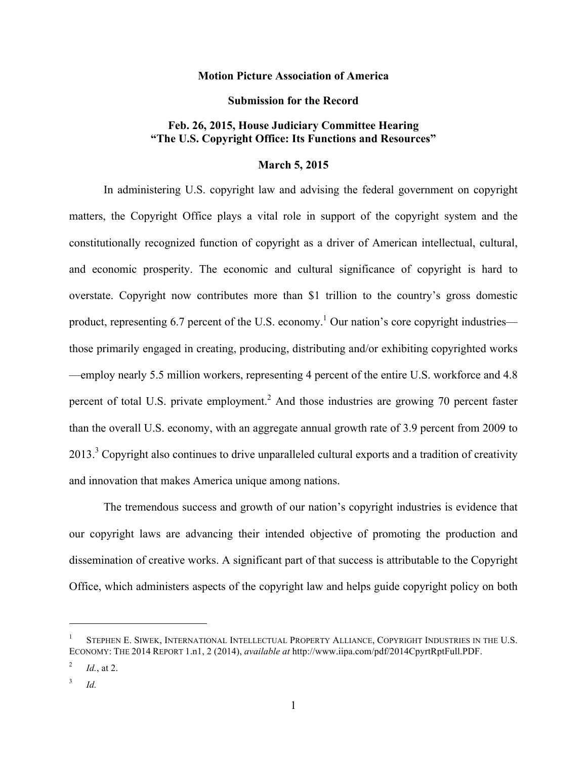## **Motion Picture Association of America**

## **Submission for the Record**

## **Feb. 26, 2015, House Judiciary Committee Hearing "The U.S. Copyright Office: Its Functions and Resources"**

## **March 5, 2015**

In administering U.S. copyright law and advising the federal government on copyright matters, the Copyright Office plays a vital role in support of the copyright system and the constitutionally recognized function of copyright as a driver of American intellectual, cultural, and economic prosperity. The economic and cultural significance of copyright is hard to overstate. Copyright now contributes more than \$1 trillion to the country's gross domestic product, representing 6.7 percent of the U.S. economy.<sup>1</sup> Our nation's core copyright industries those primarily engaged in creating, producing, distributing and/or exhibiting copyrighted works —employ nearly 5.5 million workers, representing 4 percent of the entire U.S. workforce and 4.8 percent of total U.S. private employment.<sup>2</sup> And those industries are growing 70 percent faster than the overall U.S. economy, with an aggregate annual growth rate of 3.9 percent from 2009 to 2013.<sup>3</sup> Copyright also continues to drive unparalleled cultural exports and a tradition of creativity and innovation that makes America unique among nations.

The tremendous success and growth of our nation's copyright industries is evidence that our copyright laws are advancing their intended objective of promoting the production and dissemination of creative works. A significant part of that success is attributable to the Copyright Office, which administers aspects of the copyright law and helps guide copyright policy on both

<u> 1989 - Johann Stein, fransk politik (d. 1989)</u>

STEPHEN E. SIWEK, INTERNATIONAL INTELLECTUAL PROPERTY ALLIANCE, COPYRIGHT INDUSTRIES IN THE U.S. ECONOMY: THE 2014 REPORT 1.n1, 2 (2014), *available at* http://www.iipa.com/pdf/2014CpyrtRptFull.PDF.

<sup>&</sup>lt;sup>2</sup> *Id.*, at 2.

<sup>3</sup> *Id.*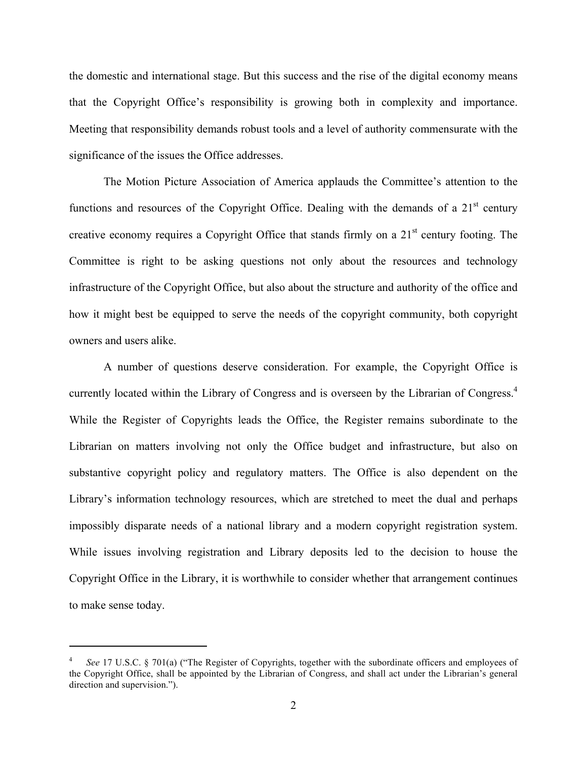the domestic and international stage. But this success and the rise of the digital economy means that the Copyright Office's responsibility is growing both in complexity and importance. Meeting that responsibility demands robust tools and a level of authority commensurate with the significance of the issues the Office addresses.

The Motion Picture Association of America applauds the Committee's attention to the functions and resources of the Copyright Office. Dealing with the demands of a  $21<sup>st</sup>$  century creative economy requires a Copyright Office that stands firmly on a  $21<sup>st</sup>$  century footing. The Committee is right to be asking questions not only about the resources and technology infrastructure of the Copyright Office, but also about the structure and authority of the office and how it might best be equipped to serve the needs of the copyright community, both copyright owners and users alike.

A number of questions deserve consideration. For example, the Copyright Office is currently located within the Library of Congress and is overseen by the Librarian of Congress. 4 While the Register of Copyrights leads the Office, the Register remains subordinate to the Librarian on matters involving not only the Office budget and infrastructure, but also on substantive copyright policy and regulatory matters. The Office is also dependent on the Library's information technology resources, which are stretched to meet the dual and perhaps impossibly disparate needs of a national library and a modern copyright registration system. While issues involving registration and Library deposits led to the decision to house the Copyright Office in the Library, it is worthwhile to consider whether that arrangement continues to make sense today.

<u> 1989 - Johann Stein, fransk politik (d. 1989)</u>

<sup>4</sup> *See* 17 U.S.C. § 701(a) ("The Register of Copyrights, together with the subordinate officers and employees of the Copyright Office, shall be appointed by the Librarian of Congress, and shall act under the Librarian's general direction and supervision.").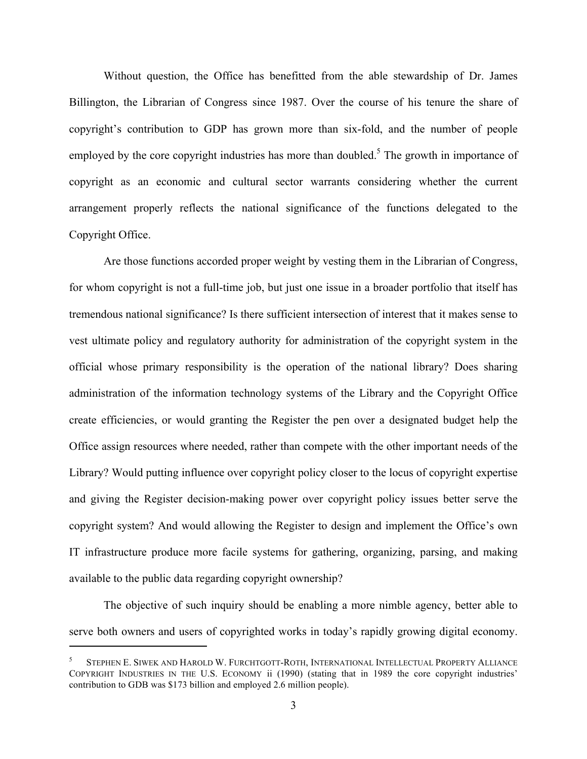Without question, the Office has benefitted from the able stewardship of Dr. James Billington, the Librarian of Congress since 1987. Over the course of his tenure the share of copyright's contribution to GDP has grown more than six-fold, and the number of people employed by the core copyright industries has more than doubled.<sup>5</sup> The growth in importance of copyright as an economic and cultural sector warrants considering whether the current arrangement properly reflects the national significance of the functions delegated to the Copyright Office.

Are those functions accorded proper weight by vesting them in the Librarian of Congress, for whom copyright is not a full-time job, but just one issue in a broader portfolio that itself has tremendous national significance? Is there sufficient intersection of interest that it makes sense to vest ultimate policy and regulatory authority for administration of the copyright system in the official whose primary responsibility is the operation of the national library? Does sharing administration of the information technology systems of the Library and the Copyright Office create efficiencies, or would granting the Register the pen over a designated budget help the Office assign resources where needed, rather than compete with the other important needs of the Library? Would putting influence over copyright policy closer to the locus of copyright expertise and giving the Register decision-making power over copyright policy issues better serve the copyright system? And would allowing the Register to design and implement the Office's own IT infrastructure produce more facile systems for gathering, organizing, parsing, and making available to the public data regarding copyright ownership?

The objective of such inquiry should be enabling a more nimble agency, better able to serve both owners and users of copyrighted works in today's rapidly growing digital economy.

<u> 1989 - Johann Stein, fransk politik (d. 1989)</u>

<sup>5</sup> STEPHEN E. SIWEK AND HAROLD W. FURCHTGOTT-ROTH, INTERNATIONAL INTELLECTUAL PROPERTY ALLIANCE COPYRIGHT INDUSTRIES IN THE U.S. ECONOMY ii (1990) (stating that in 1989 the core copyright industries' contribution to GDB was \$173 billion and employed 2.6 million people).